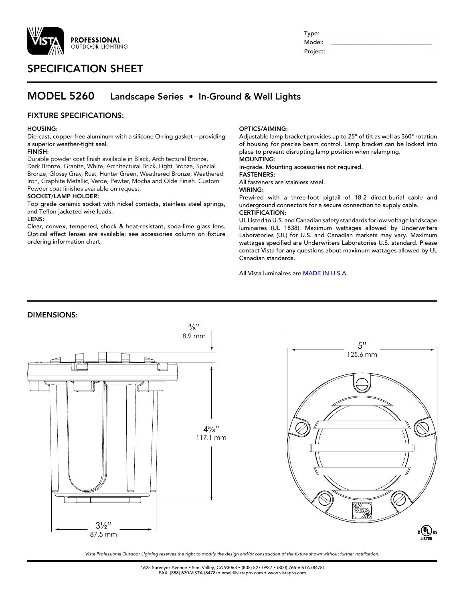

# SPECIFICATION SHEET

| Type:    |  |
|----------|--|
| Model:   |  |
| Project: |  |

# MODEL 5260 Landscape Series • In-Ground & Well Lights

## FIXTURE SPECIFICATIONS:

### HOUSING:

Die-cast, copper-free aluminum with a silicone O-ring gasket – providing a superior weather-tight seal.

### FINISH:

Durable powder coat finish available in Black, Architectural Bronze, Dark Bronze, Granite, White, Architectural Brick, Light Bronze, Special Bronze, Glossy Gray, Rust, Hunter Green, Weathered Bronze, Weathered Iron, Graphite Metallic, Verde, Pewter, Mocha and Olde Finish. Custom Powder coat finishes available on request.

### SOCKET/LAMP HOLDER:

Top grade ceramic socket with nickel contacts, stainless steel springs, and Teflon-jacketed wire leads.

### LENS:

Clear, convex, tempered, shock & heat-resistant, soda-lime glass lens. Optical effect lenses are available; see accessories column on fixture ordering information chart.

### OPTICS/AIMING:

Adjustable lamp bracket provides up to 25° of tilt as well as 360° rotation of housing for precise beam control. Lamp bracket can be locked into place to prevent disrupting lamp position when relamping. MOUNTING:

In-grade. Mounting accessories not required.

FASTENERS:

All fasteners are stainless steel.

WIRING:

Prewired with a three-foot pigtail of 18-2 direct-burial cable and underground connectors for a secure connection to supply cable. CERTIFICATION:

# UL Listed to U.S. and Canadian safety standards for low voltage landscape

luminaires (UL 1838). Maximum wattages allowed by Underwriters Laboratories (UL) for U.S. and Canadian markets may vary. Maximum wattages specified are Underwriters Laboratories U.S. standard. Please contact Vista for any questions about maximum wattages allowed by UL Canadian standards.

All Vista luminaires are MADE IN U.S.A.

## DIMENSIONS:



*Vista Professional Outdoor Lighting reserves the right to modify the design and/or construction of the fixture shown without further notification.*